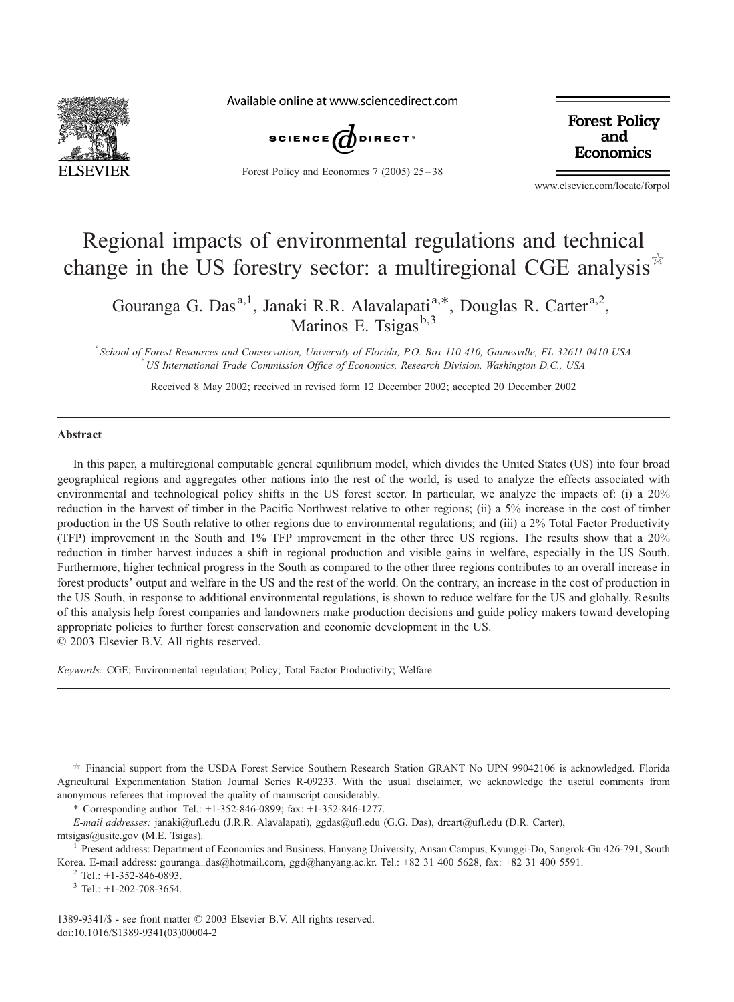

Available online at www.sciencedirect.com



Forest Policy and Economics 7 (2005) 25-38

**Forest Policy** and **Economics** 

www.elsevier.com/locate/forpol

## Regional impacts of environmental regulations and technical change in the US forestry sector: a multiregional CGE analysis  $\mathbb{R}^{\mathbb{Z}}$

Gouranga G. Das<sup>a,1</sup>, Janaki R.R. Alavalapati<sup>a,\*</sup>, Douglas R. Carter<sup>a,2</sup>, Marinos E. Tsigas<sup>b,3</sup>

<sup>a</sup> School of Forest Resources and Conservation, University of Florida, P.O. Box 110 410, Gainesville, FL 32611-0410 USA US International Trade Commission Office of Economics, Research Division, Washington D.C., USA

Received 8 May 2002; received in revised form 12 December 2002; accepted 20 December 2002

#### Abstract

In this paper, a multiregional computable general equilibrium model, which divides the United States (US) into four broad geographical regions and aggregates other nations into the rest of the world, is used to analyze the effects associated with environmental and technological policy shifts in the US forest sector. In particular, we analyze the impacts of: (i) a 20% reduction in the harvest of timber in the Pacific Northwest relative to other regions; (ii) a 5% increase in the cost of timber production in the US South relative to other regions due to environmental regulations; and (iii) a 2% Total Factor Productivity (TFP) improvement in the South and 1% TFP improvement in the other three US regions. The results show that a 20% reduction in timber harvest induces a shift in regional production and visible gains in welfare, especially in the US South. Furthermore, higher technical progress in the South as compared to the other three regions contributes to an overall increase in forest products' output and welfare in the US and the rest of the world. On the contrary, an increase in the cost of production in the US South, in response to additional environmental regulations, is shown to reduce welfare for the US and globally. Results of this analysis help forest companies and landowners make production decisions and guide policy makers toward developing appropriate policies to further forest conservation and economic development in the US.

 $\odot$  2003 Elsevier B.V. All rights reserved.

Keywords: CGE; Environmental regulation; Policy; Total Factor Productivity; Welfare

 $*$  Financial support from the USDA Forest Service Southern Research Station GRANT No UPN 99042106 is acknowledged. Florida Agricultural Experimentation Station Journal Series R-09233. With the usual disclaimer, we acknowledge the useful comments from anonymous referees that improved the quality of manuscript considerably.

\* Corresponding author. Tel.: +1-352-846-0899; fax: +1-352-846-1277.

E-mail addresses: janaki@ufl.edu (J.R.R. Alavalapati), ggdas@ufl.edu (G.G. Das), drcart@ufl.edu (D.R. Carter), mtsigas@usitc.gov (M.E. Tsigas).

<sup>1</sup> Present address: Department of Economics and Business, Hanyang University, Ansan Campus, Kyunggi-Do, Sangrok-Gu 426-791, South Korea. E-mail address: gouranga\_das@hotmail.com, ggd@hanyang.ac.kr. Tel.: +82 31 400 5628, fax: +82 31 400 5591. <sup>2</sup> Tel.: +1-352-846-0893.

 $3$  Tel.: +1-202-708-3654.

1389-9341/\$ - see front matter © 2003 Elsevier B.V. All rights reserved. doi:10.1016/S1389-9341(03)00004-2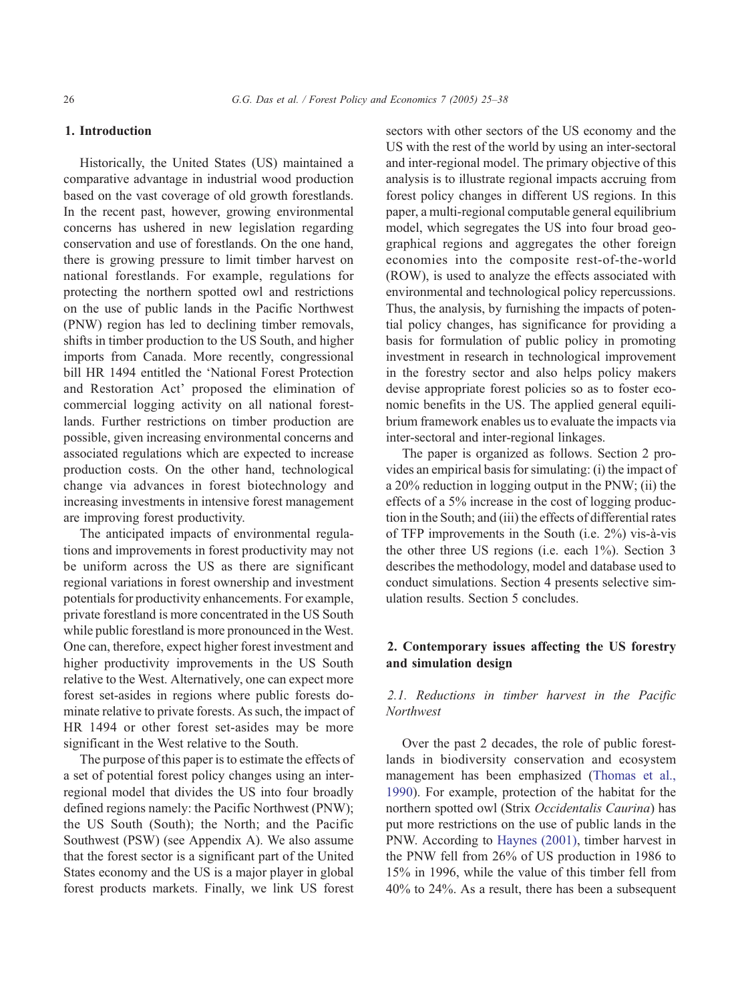#### 1. Introduction

Historically, the United States (US) maintained a comparative advantage in industrial wood production based on the vast coverage of old growth forestlands. In the recent past, however, growing environmental concerns has ushered in new legislation regarding conservation and use of forestlands. On the one hand, there is growing pressure to limit timber harvest on national forestlands. For example, regulations for protecting the northern spotted owl and restrictions on the use of public lands in the Pacific Northwest (PNW) region has led to declining timber removals, shifts in timber production to the US South, and higher imports from Canada. More recently, congressional bill HR 1494 entitled the 'National Forest Protection and Restoration Act' proposed the elimination of commercial logging activity on all national forestlands. Further restrictions on timber production are possible, given increasing environmental concerns and associated regulations which are expected to increase production costs. On the other hand, technological change via advances in forest biotechnology and increasing investments in intensive forest management are improving forest productivity.

The anticipated impacts of environmental regulations and improvements in forest productivity may not be uniform across the US as there are significant regional variations in forest ownership and investment potentials for productivity enhancements. For example, private forestland is more concentrated in the US South while public forestland is more pronounced in the West. One can, therefore, expect higher forest investment and higher productivity improvements in the US South relative to the West. Alternatively, one can expect more forest set-asides in regions where public forests dominate relative to private forests. As such, the impact of HR 1494 or other forest set-asides may be more significant in the West relative to the South.

The purpose of this paper is to estimate the effects of a set of potential forest policy changes using an interregional model that divides the US into four broadly defined regions namely: the Pacific Northwest (PNW); the US South (South); the North; and the Pacific Southwest (PSW) (see Appendix A). We also assume that the forest sector is a significant part of the United States economy and the US is a major player in global forest products markets. Finally, we link US forest

sectors with other sectors of the US economy and the US with the rest of the world by using an inter-sectoral and inter-regional model. The primary objective of this analysis is to illustrate regional impacts accruing from forest policy changes in different US regions. In this paper, a multi-regional computable general equilibrium model, which segregates the US into four broad geographical regions and aggregates the other foreign economies into the composite rest-of-the-world (ROW), is used to analyze the effects associated with environmental and technological policy repercussions. Thus, the analysis, by furnishing the impacts of potential policy changes, has significance for providing a basis for formulation of public policy in promoting investment in research in technological improvement in the forestry sector and also helps policy makers devise appropriate forest policies so as to foster economic benefits in the US. The applied general equilibrium framework enables us to evaluate the impacts via inter-sectoral and inter-regional linkages.

The paper is organized as follows. Section 2 provides an empirical basis for simulating: (i) the impact of a 20% reduction in logging output in the PNW; (ii) the effects of a 5% increase in the cost of logging production in the South; and (iii) the effects of differential rates of TFP improvements in the South (i.e.  $2\%$ ) vis-à-vis the other three US regions (i.e. each 1%). Section 3 describes the methodology, model and database used to conduct simulations. Section 4 presents selective simulation results. Section 5 concludes.

#### 2. Contemporary issues affecting the US forestry and simulation design

### 2.1. Reductions in timber harvest in the Pacific **Northwest**

Over the past 2 decades, the role of public forestlands in biodiversity conservation and ecosystem management has been emphasized [\(Thomas et al.,](#page--1-0) 1990). For example, protection of the habitat for the northern spotted owl (Strix Occidentalis Caurina) has put more restrictions on the use of public lands in the PNW. According to [Haynes \(2001\)](#page--1-0), timber harvest in the PNW fell from 26% of US production in 1986 to 15% in 1996, while the value of this timber fell from 40% to 24%. As a result, there has been a subsequent